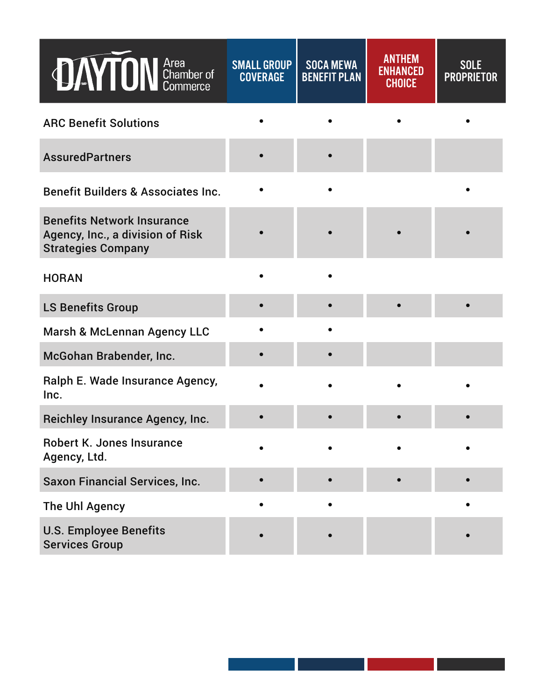| <b>JAYTON</b> Chamber of                                                                           | <b>SMALL GROUP</b><br><b>COVERAGE</b> | <b>SOCA MEWA</b><br><b>BENEFIT PLAN</b> | <b>ANTHEM</b><br><b>ENHANCED</b><br><b>CHOICE</b> | SOLE<br><b>PROPRIETOR</b> |
|----------------------------------------------------------------------------------------------------|---------------------------------------|-----------------------------------------|---------------------------------------------------|---------------------------|
| <b>ARC Benefit Solutions</b>                                                                       |                                       |                                         |                                                   |                           |
| <b>AssuredPartners</b>                                                                             |                                       |                                         |                                                   |                           |
| <b>Benefit Builders &amp; Associates Inc.</b>                                                      |                                       |                                         |                                                   |                           |
| <b>Benefits Network Insurance</b><br>Agency, Inc., a division of Risk<br><b>Strategies Company</b> |                                       |                                         |                                                   |                           |
| <b>HORAN</b>                                                                                       |                                       |                                         |                                                   |                           |
| <b>LS Benefits Group</b>                                                                           |                                       |                                         |                                                   |                           |
| Marsh & McLennan Agency LLC                                                                        |                                       |                                         |                                                   |                           |
| McGohan Brabender, Inc.                                                                            |                                       |                                         |                                                   |                           |
| Ralph E. Wade Insurance Agency,<br>Inc.                                                            |                                       |                                         |                                                   |                           |
| <b>Reichley Insurance Agency, Inc.</b>                                                             |                                       |                                         |                                                   |                           |
| <b>Robert K. Jones Insurance</b><br>Agency, Ltd.                                                   |                                       |                                         |                                                   |                           |
| <b>Saxon Financial Services, Inc.</b>                                                              |                                       |                                         |                                                   |                           |
| The Uhl Agency                                                                                     |                                       |                                         |                                                   |                           |
| <b>U.S. Employee Benefits</b><br><b>Services Group</b>                                             |                                       |                                         |                                                   |                           |